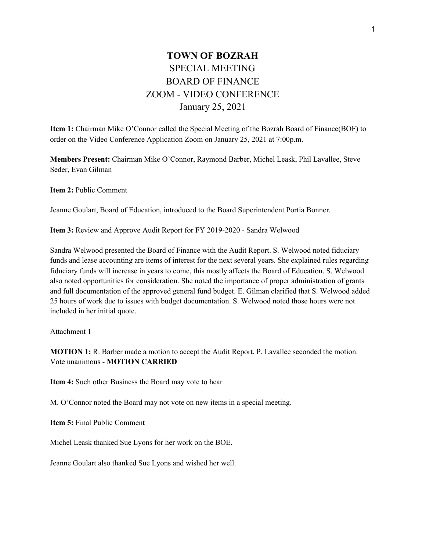## **TOWN OF BOZRAH** SPECIAL MEETING BOARD OF FINANCE ZOOM - VIDEO CONFERENCE January 25, 2021

**Item 1:** Chairman Mike O'Connor called the Special Meeting of the Bozrah Board of Finance(BOF) to order on the Video Conference Application Zoom on January 25, 2021 at 7:00p.m.

**Members Present:** Chairman Mike O'Connor, Raymond Barber, Michel Leask, Phil Lavallee, Steve Seder, Evan Gilman

**Item 2:** Public Comment

Jeanne Goulart, Board of Education, introduced to the Board Superintendent Portia Bonner.

**Item 3:** Review and Approve Audit Report for FY 2019-2020 - Sandra Welwood

Sandra Welwood presented the Board of Finance with the Audit Report. S. Welwood noted fiduciary funds and lease accounting are items of interest for the next several years. She explained rules regarding fiduciary funds will increase in years to come, this mostly affects the Board of Education. S. Welwood also noted opportunities for consideration. She noted the importance of proper administration of grants and full documentation of the approved general fund budget. E. Gilman clarified that S. Welwood added 25 hours of work due to issues with budget documentation. S. Welwood noted those hours were not included in her initial quote.

Attachment 1

**MOTION 1:** R. Barber made a motion to accept the Audit Report. P. Lavallee seconded the motion. Vote unanimous - **MOTION CARRIED**

**Item 4:** Such other Business the Board may vote to hear

M. O'Connor noted the Board may not vote on new items in a special meeting.

**Item 5:** Final Public Comment

Michel Leask thanked Sue Lyons for her work on the BOE.

Jeanne Goulart also thanked Sue Lyons and wished her well.